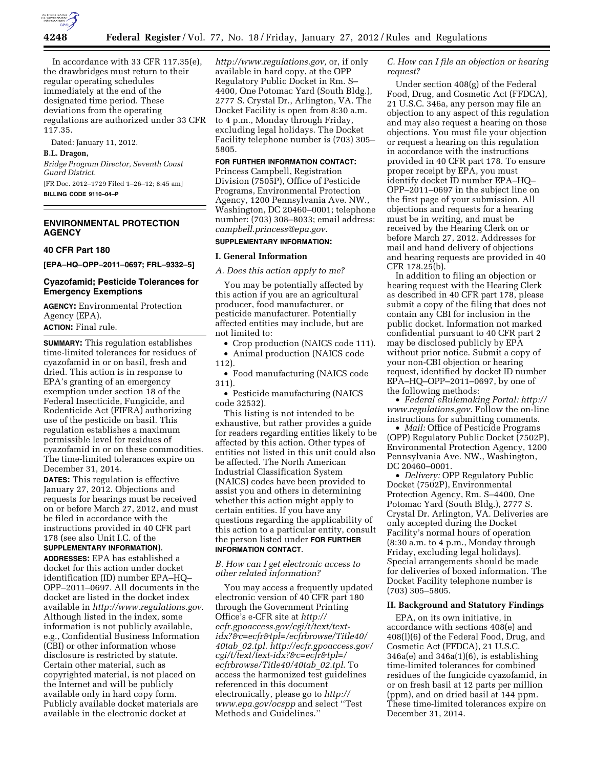

In accordance with 33 CFR 117.35(e), the drawbridges must return to their regular operating schedules immediately at the end of the designated time period. These deviations from the operating regulations are authorized under 33 CFR 117.35.

Dated: January 11, 2012.

## **B.L. Dragon,**

*Bridge Program Director, Seventh Coast Guard District.* 

[FR Doc. 2012–1729 Filed 1–26–12; 8:45 am] **BILLING CODE 9110–04–P** 

# **ENVIRONMENTAL PROTECTION AGENCY**

#### **40 CFR Part 180**

**[EPA–HQ–OPP–2011–0697; FRL–9332–5]** 

### **Cyazofamid; Pesticide Tolerances for Emergency Exemptions**

**AGENCY:** Environmental Protection Agency (EPA). **ACTION:** Final rule.

**SUMMARY:** This regulation establishes time-limited tolerances for residues of cyazofamid in or on basil, fresh and dried. This action is in response to EPA's granting of an emergency exemption under section 18 of the Federal Insecticide, Fungicide, and Rodenticide Act (FIFRA) authorizing use of the pesticide on basil. This regulation establishes a maximum permissible level for residues of cyazofamid in or on these commodities. The time-limited tolerances expire on December 31, 2014.

**DATES:** This regulation is effective January 27, 2012. Objections and requests for hearings must be received on or before March 27, 2012, and must be filed in accordance with the instructions provided in 40 CFR part 178 (see also Unit I.C. of the

# **SUPPLEMENTARY INFORMATION**).

**ADDRESSES:** EPA has established a docket for this action under docket identification (ID) number EPA–HQ– OPP–2011–0697. All documents in the docket are listed in the docket index available in *<http://www.regulations.gov>*. Although listed in the index, some information is not publicly available, e.g., Confidential Business Information (CBI) or other information whose disclosure is restricted by statute. Certain other material, such as copyrighted material, is not placed on the Internet and will be publicly available only in hard copy form. Publicly available docket materials are available in the electronic docket at

*[http://www.regulations.gov,](http://www.regulations.gov)* or, if only available in hard copy, at the OPP Regulatory Public Docket in Rm. S– 4400, One Potomac Yard (South Bldg.), 2777 S. Crystal Dr., Arlington, VA. The Docket Facility is open from 8:30 a.m. to 4 p.m., Monday through Friday, excluding legal holidays. The Docket Facility telephone number is (703) 305– 5805.

### **FOR FURTHER INFORMATION CONTACT:**

Princess Campbell, Registration Division (7505P), Office of Pesticide Programs, Environmental Protection Agency, 1200 Pennsylvania Ave. NW., Washington, DC 20460–0001; telephone number: (703) 308–8033; email address: *[campbell.princess@epa.gov](mailto:campbell.princess@epa.gov)*.

# **SUPPLEMENTARY INFORMATION:**

### **I. General Information**

*A. Does this action apply to me?* 

You may be potentially affected by this action if you are an agricultural producer, food manufacturer, or pesticide manufacturer. Potentially affected entities may include, but are not limited to:

• Crop production (NAICS code 111). • Animal production (NAICS code

112).

• Food manufacturing (NAICS code 311).

• Pesticide manufacturing (NAICS code 32532).

This listing is not intended to be exhaustive, but rather provides a guide for readers regarding entities likely to be affected by this action. Other types of entities not listed in this unit could also be affected. The North American Industrial Classification System (NAICS) codes have been provided to assist you and others in determining whether this action might apply to certain entities. If you have any questions regarding the applicability of this action to a particular entity, consult the person listed under **FOR FURTHER INFORMATION CONTACT**.

*B. How can I get electronic access to other related information?* 

You may access a frequently updated electronic version of 40 CFR part 180 through the Government Printing Office's e-CFR site at *[http://](http://ecfr.gpoaccess.gov/cgi/t/text/text-idx?&c=ecfr&tpl=/ecfrbrowse/Title40/40tab_02.tpl)  [ecfr.gpoaccess.gov/cgi/t/text/text](http://ecfr.gpoaccess.gov/cgi/t/text/text-idx?&c=ecfr&tpl=/ecfrbrowse/Title40/40tab_02.tpl)[idx?&c=ecfr&tpl=/ecfrbrowse/Title40/](http://ecfr.gpoaccess.gov/cgi/t/text/text-idx?&c=ecfr&tpl=/ecfrbrowse/Title40/40tab_02.tpl)  40tab*\_*[02.tpl. http://ecfr.gpoaccess.gov/](http://ecfr.gpoaccess.gov/cgi/t/text/text-idx?&c=ecfr&tpl=/ecfrbrowse/Title40/40tab_02.tpl)  [cgi/t/text/text-idx?&c=ecfr&tpl=/](http://ecfr.gpoaccess.gov/cgi/t/text/text-idx?&c=ecfr&tpl=/ecfrbrowse/Title40/40tab_02.tpl)  [ecfrbrowse/Title40/40tab](http://ecfr.gpoaccess.gov/cgi/t/text/text-idx?&c=ecfr&tpl=/ecfrbrowse/Title40/40tab_02.tpl)*\_*02.tpl*. To access the harmonized test guidelines referenced in this document electronically, please go to *[http://](http://www.epa.gov/ocspp)  [www.epa.gov/ocspp](http://www.epa.gov/ocspp)* and select ''Test Methods and Guidelines.''

# *C. How can I file an objection or hearing request?*

Under section 408(g) of the Federal Food, Drug, and Cosmetic Act (FFDCA), 21 U.S.C. 346a, any person may file an objection to any aspect of this regulation and may also request a hearing on those objections. You must file your objection or request a hearing on this regulation in accordance with the instructions provided in 40 CFR part 178. To ensure proper receipt by EPA, you must identify docket ID number EPA–HQ– OPP–2011–0697 in the subject line on the first page of your submission. All objections and requests for a hearing must be in writing, and must be received by the Hearing Clerk on or before March 27, 2012. Addresses for mail and hand delivery of objections and hearing requests are provided in 40 CFR 178.25(b).

In addition to filing an objection or hearing request with the Hearing Clerk as described in 40 CFR part 178, please submit a copy of the filing that does not contain any CBI for inclusion in the public docket. Information not marked confidential pursuant to 40 CFR part 2 may be disclosed publicly by EPA without prior notice. Submit a copy of your non-CBI objection or hearing request, identified by docket ID number EPA–HQ–OPP–2011–0697, by one of the following methods:

• *Federal eRulemaking Portal: [http://](http://www.regulations.gov)  [www.regulations.gov](http://www.regulations.gov)*. Follow the on-line instructions for submitting comments.

• *Mail:* Office of Pesticide Programs (OPP) Regulatory Public Docket (7502P), Environmental Protection Agency, 1200 Pennsylvania Ave. NW., Washington, DC 20460–0001.

• *Delivery:* OPP Regulatory Public Docket (7502P), Environmental Protection Agency, Rm. S–4400, One Potomac Yard (South Bldg.), 2777 S. Crystal Dr. Arlington, VA. Deliveries are only accepted during the Docket Facility's normal hours of operation (8:30 a.m. to 4 p.m., Monday through Friday, excluding legal holidays). Special arrangements should be made for deliveries of boxed information. The Docket Facility telephone number is (703) 305–5805.

#### **II. Background and Statutory Findings**

EPA, on its own initiative, in accordance with sections 408(e) and 408(l)(6) of the Federal Food, Drug, and Cosmetic Act (FFDCA), 21 U.S.C. 346a(e) and 346a(1)(6), is establishing time-limited tolerances for combined residues of the fungicide cyazofamid, in or on fresh basil at 12 parts per million (ppm), and on dried basil at 144 ppm. These time-limited tolerances expire on December 31, 2014.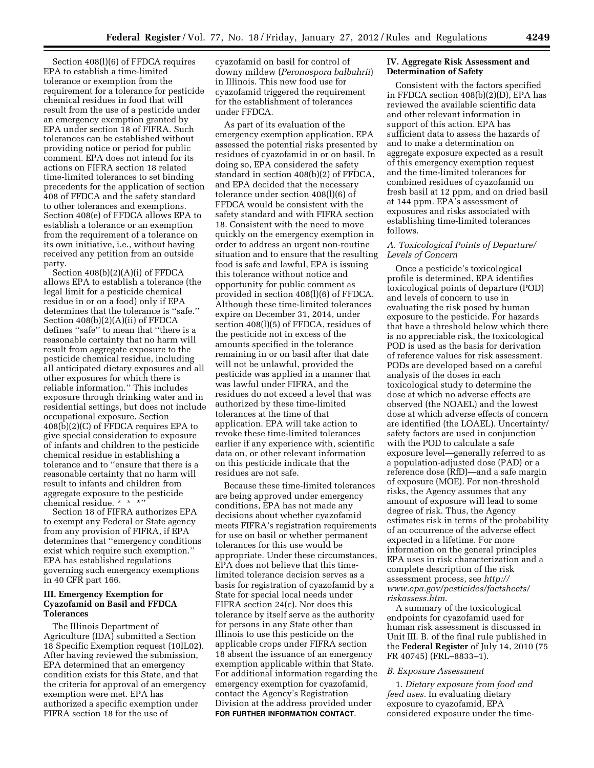Section 408(l)(6) of FFDCA requires EPA to establish a time-limited tolerance or exemption from the requirement for a tolerance for pesticide chemical residues in food that will result from the use of a pesticide under an emergency exemption granted by EPA under section 18 of FIFRA. Such tolerances can be established without providing notice or period for public comment. EPA does not intend for its actions on FIFRA section 18 related time-limited tolerances to set binding precedents for the application of section 408 of FFDCA and the safety standard to other tolerances and exemptions. Section 408(e) of FFDCA allows EPA to establish a tolerance or an exemption from the requirement of a tolerance on its own initiative, i.e., without having received any petition from an outside party.

Section 408(b)(2)(A)(i) of FFDCA allows EPA to establish a tolerance (the legal limit for a pesticide chemical residue in or on a food) only if EPA determines that the tolerance is ''safe.'' Section 408(b)(2)(A)(ii) of FFDCA defines ''safe'' to mean that ''there is a reasonable certainty that no harm will result from aggregate exposure to the pesticide chemical residue, including all anticipated dietary exposures and all other exposures for which there is reliable information.'' This includes exposure through drinking water and in residential settings, but does not include occupational exposure. Section 408(b)(2)(C) of FFDCA requires EPA to give special consideration to exposure of infants and children to the pesticide chemical residue in establishing a tolerance and to ''ensure that there is a reasonable certainty that no harm will result to infants and children from aggregate exposure to the pesticide chemical residue. \* \* \*''

Section 18 of FIFRA authorizes EPA to exempt any Federal or State agency from any provision of FIFRA, if EPA determines that ''emergency conditions exist which require such exemption.'' EPA has established regulations governing such emergency exemptions in 40 CFR part 166.

## **III. Emergency Exemption for Cyazofamid on Basil and FFDCA Tolerances**

The Illinois Department of Agriculture (IDA) submitted a Section 18 Specific Exemption request (10IL02). After having reviewed the submission, EPA determined that an emergency condition exists for this State, and that the criteria for approval of an emergency exemption were met. EPA has authorized a specific exemption under FIFRA section 18 for the use of

cyazofamid on basil for control of downy mildew (*Peronospora balbahrii*) in Illinois. This new food use for cyazofamid triggered the requirement for the establishment of tolerances under FFDCA.

As part of its evaluation of the emergency exemption application, EPA assessed the potential risks presented by residues of cyazofamid in or on basil. In doing so, EPA considered the safety standard in section 408(b)(2) of FFDCA, and EPA decided that the necessary tolerance under section 408(l)(6) of FFDCA would be consistent with the safety standard and with FIFRA section 18. Consistent with the need to move quickly on the emergency exemption in order to address an urgent non-routine situation and to ensure that the resulting food is safe and lawful, EPA is issuing this tolerance without notice and opportunity for public comment as provided in section 408(l)(6) of FFDCA. Although these time-limited tolerances expire on December 31, 2014, under section 408(l)(5) of FFDCA, residues of the pesticide not in excess of the amounts specified in the tolerance remaining in or on basil after that date will not be unlawful, provided the pesticide was applied in a manner that was lawful under FIFRA, and the residues do not exceed a level that was authorized by these time-limited tolerances at the time of that application. EPA will take action to revoke these time-limited tolerances earlier if any experience with, scientific data on, or other relevant information on this pesticide indicate that the residues are not safe.

Because these time-limited tolerances are being approved under emergency conditions, EPA has not made any decisions about whether cyazofamid meets FIFRA's registration requirements for use on basil or whether permanent tolerances for this use would be appropriate. Under these circumstances, EPA does not believe that this timelimited tolerance decision serves as a basis for registration of cyazofamid by a State for special local needs under FIFRA section 24(c). Nor does this tolerance by itself serve as the authority for persons in any State other than Illinois to use this pesticide on the applicable crops under FIFRA section 18 absent the issuance of an emergency exemption applicable within that State. For additional information regarding the emergency exemption for cyazofamid, contact the Agency's Registration Division at the address provided under **FOR FURTHER INFORMATION CONTACT**.

## **IV. Aggregate Risk Assessment and Determination of Safety**

Consistent with the factors specified in FFDCA section  $408(b)(2)(D)$ , EPA has reviewed the available scientific data and other relevant information in support of this action. EPA has sufficient data to assess the hazards of and to make a determination on aggregate exposure expected as a result of this emergency exemption request and the time-limited tolerances for combined residues of cyazofamid on fresh basil at 12 ppm, and on dried basil at 144 ppm. EPA's assessment of exposures and risks associated with establishing time-limited tolerances follows.

## *A. Toxicological Points of Departure/ Levels of Concern*

Once a pesticide's toxicological profile is determined, EPA identifies toxicological points of departure (POD) and levels of concern to use in evaluating the risk posed by human exposure to the pesticide. For hazards that have a threshold below which there is no appreciable risk, the toxicological POD is used as the basis for derivation of reference values for risk assessment. PODs are developed based on a careful analysis of the doses in each toxicological study to determine the dose at which no adverse effects are observed (the NOAEL) and the lowest dose at which adverse effects of concern are identified (the LOAEL). Uncertainty/ safety factors are used in conjunction with the POD to calculate a safe exposure level—generally referred to as a population-adjusted dose (PAD) or a reference dose (RfD)—and a safe margin of exposure (MOE). For non-threshold risks, the Agency assumes that any amount of exposure will lead to some degree of risk. Thus, the Agency estimates risk in terms of the probability of an occurrence of the adverse effect expected in a lifetime. For more information on the general principles EPA uses in risk characterization and a complete description of the risk assessment process, see *[http://](http://www.epa.gov/pesticides/factsheets/riskassess.htm) [www.epa.gov/pesticides/factsheets/](http://www.epa.gov/pesticides/factsheets/riskassess.htm) [riskassess.htm](http://www.epa.gov/pesticides/factsheets/riskassess.htm)*.

A summary of the toxicological endpoints for cyazofamid used for human risk assessment is discussed in Unit III. B. of the final rule published in the **Federal Register** of July 14, 2010 (75 FR 40745) (FRL–8833–1).

## *B. Exposure Assessment*

1. *Dietary exposure from food and feed uses.* In evaluating dietary exposure to cyazofamid, EPA considered exposure under the time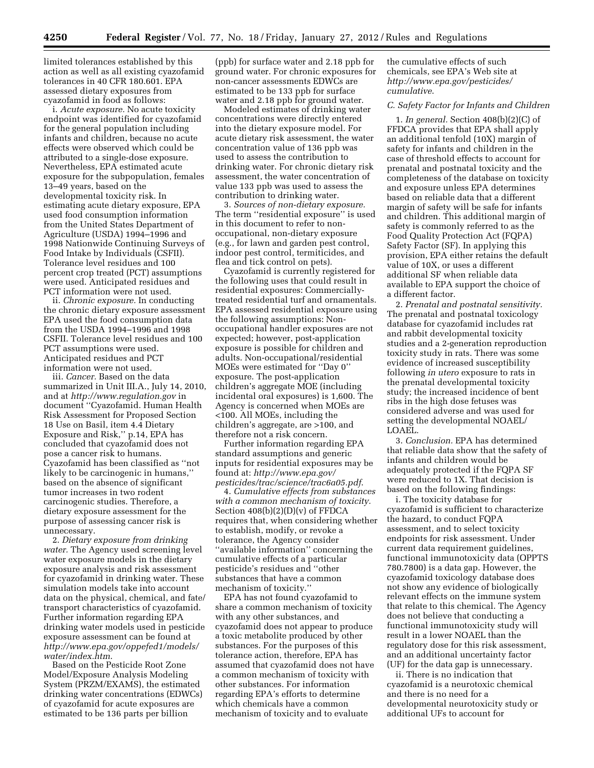limited tolerances established by this action as well as all existing cyazofamid tolerances in 40 CFR 180.601. EPA assessed dietary exposures from cyazofamid in food as follows:

i. *Acute exposure.* No acute toxicity endpoint was identified for cyazofamid for the general population including infants and children, because no acute effects were observed which could be attributed to a single-dose exposure. Nevertheless, EPA estimated acute exposure for the subpopulation, females 13–49 years, based on the developmental toxicity risk. In estimating acute dietary exposure, EPA used food consumption information from the United States Department of Agriculture (USDA) 1994–1996 and 1998 Nationwide Continuing Surveys of Food Intake by Individuals (CSFII). Tolerance level residues and 100 percent crop treated (PCT) assumptions were used. Anticipated residues and PCT information were not used.

ii. *Chronic exposure.* In conducting the chronic dietary exposure assessment EPA used the food consumption data from the USDA 1994–1996 and 1998 CSFII. Tolerance level residues and 100 PCT assumptions were used. Anticipated residues and PCT information were not used.

iii. *Cancer.* Based on the data summarized in Unit III.A., July 14, 2010, and at *<http://www.regulation.gov>* in document ''Cyazofamid. Human Health Risk Assessment for Proposed Section 18 Use on Basil, item 4.4 Dietary Exposure and Risk,'' p.14, EPA has concluded that cyazofamid does not pose a cancer risk to humans. Cyazofamid has been classified as ''not likely to be carcinogenic in humans,'' based on the absence of significant tumor increases in two rodent carcinogenic studies. Therefore, a dietary exposure assessment for the purpose of assessing cancer risk is unnecessary.

2. *Dietary exposure from drinking water.* The Agency used screening level water exposure models in the dietary exposure analysis and risk assessment for cyazofamid in drinking water. These simulation models take into account data on the physical, chemical, and fate/ transport characteristics of cyazofamid. Further information regarding EPA drinking water models used in pesticide exposure assessment can be found at *[http://www.epa.gov/oppefed1/models/](http://www.epa.gov/oppefed1/models/water/index.htm)  [water/index.htm](http://www.epa.gov/oppefed1/models/water/index.htm)*.

Based on the Pesticide Root Zone Model/Exposure Analysis Modeling System (PRZM/EXAMS), the estimated drinking water concentrations (EDWCs) of cyazofamid for acute exposures are estimated to be 136 parts per billion

(ppb) for surface water and 2.18 ppb for ground water. For chronic exposures for non-cancer assessments EDWCs are estimated to be 133 ppb for surface water and 2.18 ppb for ground water.

Modeled estimates of drinking water concentrations were directly entered into the dietary exposure model. For acute dietary risk assessment, the water concentration value of 136 ppb was used to assess the contribution to drinking water. For chronic dietary risk assessment, the water concentration of value 133 ppb was used to assess the contribution to drinking water.

3. *Sources of non-dietary exposure.*  The term ''residential exposure'' is used in this document to refer to nonoccupational, non-dietary exposure (e.g., for lawn and garden pest control, indoor pest control, termiticides, and flea and tick control on pets).

Cyazofamid is currently registered for the following uses that could result in residential exposures: Commerciallytreated residential turf and ornamentals. EPA assessed residential exposure using the following assumptions: Nonoccupational handler exposures are not expected; however, post-application exposure is possible for children and adults. Non-occupational/residential MOEs were estimated for ''Day 0'' exposure. The post-application children's aggregate MOE (including incidental oral exposures) is 1,600. The Agency is concerned when MOEs are <100. All MOEs, including the children's aggregate, are >100, and therefore not a risk concern.

Further information regarding EPA standard assumptions and generic inputs for residential exposures may be found at: *[http://www.epa.gov/](http://www.epa.gov/pesticides/trac/science/trac6a05.pdf) [pesticides/trac/science/trac6a05.pdf](http://www.epa.gov/pesticides/trac/science/trac6a05.pdf)*.

4. *Cumulative effects from substances with a common mechanism of toxicity.*  Section 408(b)(2)(D)(v) of FFDCA requires that, when considering whether to establish, modify, or revoke a tolerance, the Agency consider ''available information'' concerning the cumulative effects of a particular pesticide's residues and ''other substances that have a common mechanism of toxicity.''

EPA has not found cyazofamid to share a common mechanism of toxicity with any other substances, and cyazofamid does not appear to produce a toxic metabolite produced by other substances. For the purposes of this tolerance action, therefore, EPA has assumed that cyazofamid does not have a common mechanism of toxicity with other substances. For information regarding EPA's efforts to determine which chemicals have a common mechanism of toxicity and to evaluate

the cumulative effects of such chemicals, see EPA's Web site at *[http://www.epa.gov/pesticides/](http://www.epa.gov/pesticides/cumulative) [cumulative](http://www.epa.gov/pesticides/cumulative)*.

# *C. Safety Factor for Infants and Children*

1. *In general.* Section 408(b)(2)(C) of FFDCA provides that EPA shall apply an additional tenfold (10X) margin of safety for infants and children in the case of threshold effects to account for prenatal and postnatal toxicity and the completeness of the database on toxicity and exposure unless EPA determines based on reliable data that a different margin of safety will be safe for infants and children. This additional margin of safety is commonly referred to as the Food Quality Protection Act (FQPA) Safety Factor (SF). In applying this provision, EPA either retains the default value of 10X, or uses a different additional SF when reliable data available to EPA support the choice of a different factor.

2. *Prenatal and postnatal sensitivity.*  The prenatal and postnatal toxicology database for cyazofamid includes rat and rabbit developmental toxicity studies and a 2-generation reproduction toxicity study in rats. There was some evidence of increased susceptibility following *in utero* exposure to rats in the prenatal developmental toxicity study; the increased incidence of bent ribs in the high dose fetuses was considered adverse and was used for setting the developmental NOAEL/ LOAEL.

3. *Conclusion.* EPA has determined that reliable data show that the safety of infants and children would be adequately protected if the FQPA SF were reduced to 1X. That decision is based on the following findings:

i. The toxicity database for cyazofamid is sufficient to characterize the hazard, to conduct FQPA assessment, and to select toxicity endpoints for risk assessment. Under current data requirement guidelines, functional immunotoxicity data (OPPTS 780.7800) is a data gap. However, the cyazofamid toxicology database does not show any evidence of biologically relevant effects on the immune system that relate to this chemical. The Agency does not believe that conducting a functional immunotoxicity study will result in a lower NOAEL than the regulatory dose for this risk assessment, and an additional uncertainty factor (UF) for the data gap is unnecessary.

ii. There is no indication that cyazofamid is a neurotoxic chemical and there is no need for a developmental neurotoxicity study or additional UFs to account for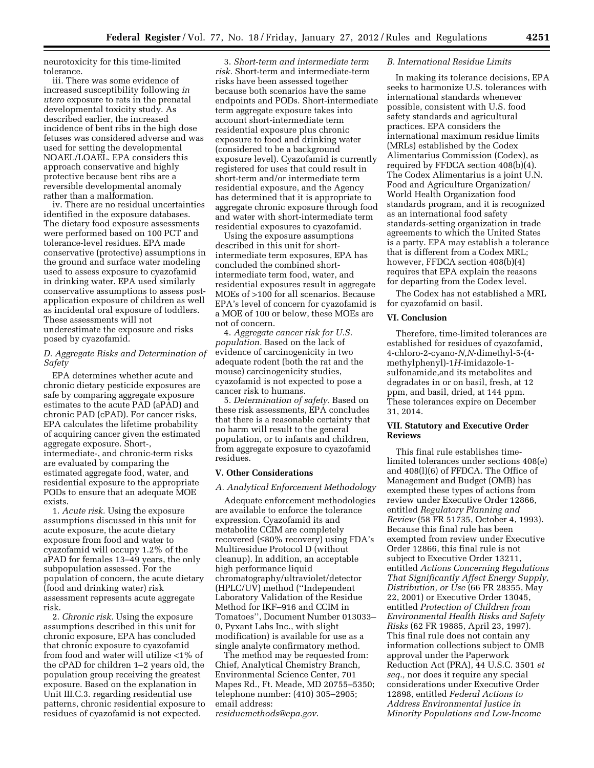neurotoxicity for this time-limited tolerance.

iii. There was some evidence of increased susceptibility following *in utero* exposure to rats in the prenatal developmental toxicity study. As described earlier, the increased incidence of bent ribs in the high dose fetuses was considered adverse and was used for setting the developmental NOAEL/LOAEL. EPA considers this approach conservative and highly protective because bent ribs are a reversible developmental anomaly rather than a malformation.

iv. There are no residual uncertainties identified in the exposure databases. The dietary food exposure assessments were performed based on 100 PCT and tolerance-level residues. EPA made conservative (protective) assumptions in the ground and surface water modeling used to assess exposure to cyazofamid in drinking water. EPA used similarly conservative assumptions to assess postapplication exposure of children as well as incidental oral exposure of toddlers. These assessments will not underestimate the exposure and risks posed by cyazofamid.

## *D. Aggregate Risks and Determination of Safety*

EPA determines whether acute and chronic dietary pesticide exposures are safe by comparing aggregate exposure estimates to the acute PAD (aPAD) and chronic PAD (cPAD). For cancer risks, EPA calculates the lifetime probability of acquiring cancer given the estimated aggregate exposure. Short-, intermediate-, and chronic-term risks are evaluated by comparing the estimated aggregate food, water, and residential exposure to the appropriate PODs to ensure that an adequate MOE exists.

1. *Acute risk.* Using the exposure assumptions discussed in this unit for acute exposure, the acute dietary exposure from food and water to cyazofamid will occupy 1.2% of the aPAD for females 13–49 years, the only subpopulation assessed. For the population of concern, the acute dietary (food and drinking water) risk assessment represents acute aggregate risk.

2. *Chronic risk.* Using the exposure assumptions described in this unit for chronic exposure, EPA has concluded that chronic exposure to cyazofamid from food and water will utilize <1% of the cPAD for children 1–2 years old, the population group receiving the greatest exposure. Based on the explanation in Unit III.C.3. regarding residential use patterns, chronic residential exposure to residues of cyazofamid is not expected.

3. *Short-term and intermediate term risk.* Short-term and intermediate-term risks have been assessed together because both scenarios have the same endpoints and PODs. Short-intermediate term aggregate exposure takes into account short-intermediate term residential exposure plus chronic exposure to food and drinking water (considered to be a background exposure level). Cyazofamid is currently registered for uses that could result in short-term and/or intermediate term residential exposure, and the Agency has determined that it is appropriate to aggregate chronic exposure through food and water with short-intermediate term residential exposures to cyazofamid.

Using the exposure assumptions described in this unit for shortintermediate term exposures, EPA has concluded the combined shortintermediate term food, water, and residential exposures result in aggregate MOEs of >100 for all scenarios. Because EPA's level of concern for cyazofamid is a MOE of 100 or below, these MOEs are not of concern.

4. *Aggregate cancer risk for U.S. population.* Based on the lack of evidence of carcinogenicity in two adequate rodent (both the rat and the mouse) carcinogenicity studies, cyazofamid is not expected to pose a cancer risk to humans.

5. *Determination of safety.* Based on these risk assessments, EPA concludes that there is a reasonable certainty that no harm will result to the general population, or to infants and children, from aggregate exposure to cyazofamid residues.

### **V. Other Considerations**

# *A. Analytical Enforcement Methodology*

Adequate enforcement methodologies are available to enforce the tolerance expression. Cyazofamid its and metabolite CCIM are completely recovered (≤80% recovery) using FDA's Multiresidue Protocol D (without cleanup). In addition, an acceptable high performance liquid chromatography/ultraviolet/detector (HPLC/UV) method (''Independent Laboratory Validation of the Residue Method for IKF–916 and CCIM in Tomatoes'', Document Number 013033– 0, Pyxant Labs Inc., with slight modification) is available for use as a single analyte confirmatory method.

The method may be requested from: Chief, Analytical Chemistry Branch, Environmental Science Center, 701 Mapes Rd., Ft. Meade, MD 20755–5350; telephone number: (410) 305–2905; email address: *[residuemethods@epa.gov](mailto:residuemethods@epa.gov)*.

### *B. International Residue Limits*

In making its tolerance decisions, EPA seeks to harmonize U.S. tolerances with international standards whenever possible, consistent with U.S. food safety standards and agricultural practices. EPA considers the international maximum residue limits (MRLs) established by the Codex Alimentarius Commission (Codex), as required by FFDCA section 408(b)(4). The Codex Alimentarius is a joint U.N. Food and Agriculture Organization/ World Health Organization food standards program, and it is recognized as an international food safety standards-setting organization in trade agreements to which the United States is a party. EPA may establish a tolerance that is different from a Codex MRL; however, FFDCA section 408(b)(4) requires that EPA explain the reasons for departing from the Codex level.

The Codex has not established a MRL for cyazofamid on basil.

### **VI. Conclusion**

Therefore, time-limited tolerances are established for residues of cyazofamid, 4-chloro-2-cyano-*N,N*-dimethyl-5-(4 methylphenyl)-1*H*-imidazole-1 sulfonamide,and its metabolites and degradates in or on basil, fresh, at 12 ppm, and basil, dried, at 144 ppm. These tolerances expire on December 31, 2014.

### **VII. Statutory and Executive Order Reviews**

This final rule establishes timelimited tolerances under sections 408(e) and 408(l)(6) of FFDCA. The Office of Management and Budget (OMB) has exempted these types of actions from review under Executive Order 12866, entitled *Regulatory Planning and Review* (58 FR 51735, October 4, 1993). Because this final rule has been exempted from review under Executive Order 12866, this final rule is not subject to Executive Order 13211, entitled *Actions Concerning Regulations That Significantly Affect Energy Supply, Distribution, or Use* (66 FR 28355, May 22, 2001) or Executive Order 13045, entitled *Protection of Children from Environmental Health Risks and Safety Risks* (62 FR 19885, April 23, 1997). This final rule does not contain any information collections subject to OMB approval under the Paperwork Reduction Act (PRA), 44 U.S.C. 3501 *et seq.,* nor does it require any special considerations under Executive Order 12898, entitled *Federal Actions to Address Environmental Justice in Minority Populations and Low-Income*